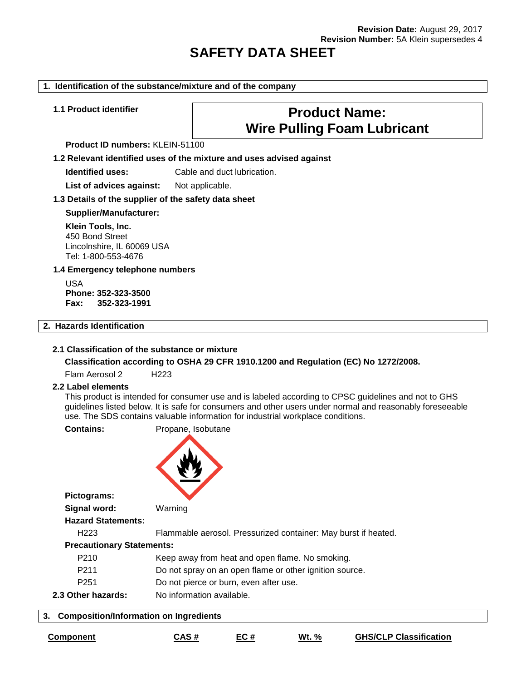# **SAFETY DATA SHEET**

#### **1. Identification of the substance/mixture and of the company**

# **1.1 Product identifier Product Name: Wire Pulling Foam Lubricant**

**Product ID numbers:** KLEIN-51100

**1.2 Relevant identified uses of the mixture and uses advised against**

**Identified uses:** Cable and duct lubrication.

List of advices against: Not applicable.

#### **1.3 Details of the supplier of the safety data sheet**

**Supplier/Manufacturer:**

**Klein Tools, Inc.** 450 Bond Street Lincolnshire, IL 60069 USA Tel: 1-800-553-4676

#### **1.4 Emergency telephone numbers**

USA **Phone: 352-323-3500 Fax: 352-323-1991**

# **2. Hazards Identification**

#### **2.1 Classification of the substance or mixture**

**Classification according to OSHA 29 CFR 1910.1200 and Regulation (EC) No 1272/2008.**

Flam Aerosol 2 H223

#### **2.2 Label elements**

This product is intended for consumer use and is labeled according to CPSC guidelines and not to GHS guidelines listed below. It is safe for consumers and other users under normal and reasonably foreseeable use. The SDS contains valuable information for industrial workplace conditions.

**Contains:** Propane, Isobutane



**Pictograms:**

**Hazard Statements:** H223 Flammable aerosol. Pressurized container: May burst if heated.

#### **Precautionary Statements:**

**Signal word:** Warning

- P210 Keep away from heat and open flame. No smoking.
- P211 Do not spray on an open flame or other ignition source.
- P251 Do not pierce or burn, even after use.
- **2.3 Other hazards:** No information available.

#### **3. Composition/Information on Ingredients**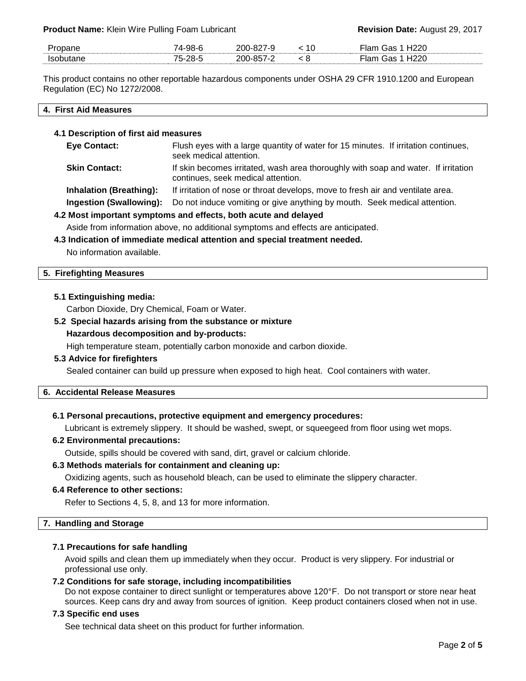**Product Name:** Klein Wire Pulling Foam Lubricant **Revision Date:** August 29, 2017

| -   | 74-98-<br>$\sim$ | n,<br>ንበበ<br>- - | 10  | 1220<br>--- |
|-----|------------------|------------------|-----|-------------|
| lsr | 75-28-<br>$ -$   | ንበበ              | . u | חממ<br>___  |

This product contains no other reportable hazardous components under OSHA 29 CFR 1910.1200 and European Regulation (EC) No 1272/2008.

#### **4. First Aid Measures**

#### **4.1 Description of first aid measures**

**Eye Contact:** Flush eyes with a large quantity of water for 15 minutes. If irritation continues, seek medical attention. **Skin Contact:** If skin becomes irritated, wash area thoroughly with soap and water. If irritation continues, seek medical attention. **Inhalation (Breathing):** If irritation of nose or throat develops, move to fresh air and ventilate area.

**Ingestion (Swallowing):** Do not induce vomiting or give anything by mouth. Seek medical attention.

# **4.2 Most important symptoms and effects, both acute and delayed**

Aside from information above, no additional symptoms and effects are anticipated.

# **4.3 Indication of immediate medical attention and special treatment needed.**

No information available.

#### **5. Firefighting Measures**

#### **5.1 Extinguishing media:**

Carbon Dioxide, Dry Chemical, Foam or Water.

# **5.2 Special hazards arising from the substance or mixture**

#### **Hazardous decomposition and by-products:**

High temperature steam, potentially carbon monoxide and carbon dioxide.

#### **5.3 Advice for firefighters**

Sealed container can build up pressure when exposed to high heat. Cool containers with water.

#### **6. Accidental Release Measures**

#### **6.1 Personal precautions, protective equipment and emergency procedures:**

Lubricant is extremely slippery. It should be washed, swept, or squeegeed from floor using wet mops.

# **6.2 Environmental precautions:**

Outside, spills should be covered with sand, dirt, gravel or calcium chloride.

#### **6.3 Methods materials for containment and cleaning up:**

Oxidizing agents, such as household bleach, can be used to eliminate the slippery character.

#### **6.4 Reference to other sections:**

Refer to Sections 4, 5, 8, and 13 for more information.

#### **7. Handling and Storage**

#### **7.1 Precautions for safe handling**

Avoid spills and clean them up immediately when they occur. Product is very slippery. For industrial or professional use only.

#### **7.2 Conditions for safe storage, including incompatibilities**

Do not expose container to direct sunlight or temperatures above 120°F. Do not transport or store near heat sources. Keep cans dry and away from sources of ignition. Keep product containers closed when not in use.

# **7.3 Specific end uses**

See technical data sheet on this product for further information.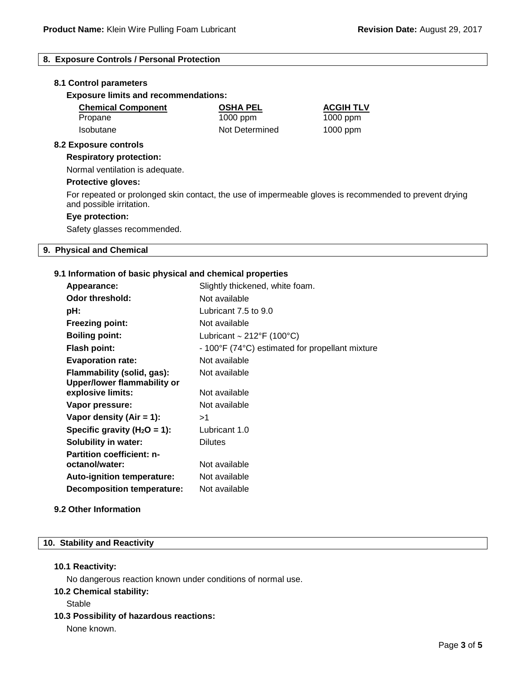# **8. Exposure Controls / Personal Protection**

#### **8.1 Control parameters**

**Exposure limits and recommendations:**

| <b>Chemical Component</b>    | <b>OSHA PEL</b> | <b>ACGIH TLV</b> |  |
|------------------------------|-----------------|------------------|--|
| Propane                      | $1000$ ppm      | $1000$ ppm       |  |
| <b>Isobutane</b>             | Not Determined  | $1000$ ppm       |  |
| <b>8.2 Exposure controls</b> |                 |                  |  |

# **Respiratory protection:**

Normal ventilation is adequate.

#### **Protective gloves:**

For repeated or prolonged skin contact, the use of impermeable gloves is recommended to prevent drying and possible irritation.

#### **Eye protection:**

Safety glasses recommended.

# **9. Physical and Chemical**

#### **9.1 Information of basic physical and chemical properties**

| Appearance:                        | Slightly thickened, white foam.                 |
|------------------------------------|-------------------------------------------------|
| Odor threshold:                    | Not available                                   |
| pH:                                | Lubricant 7.5 to 9.0                            |
| <b>Freezing point:</b>             | Not available                                   |
| <b>Boiling point:</b>              | Lubricant $\sim$ 212°F (100°C)                  |
| <b>Flash point:</b>                | - 100°F (74°C) estimated for propellant mixture |
| <b>Evaporation rate:</b>           | Not available                                   |
| Flammability (solid, gas):         | Not available                                   |
| <b>Upper/lower flammability or</b> |                                                 |
| explosive limits:                  | Not available                                   |
| Vapor pressure:                    | Not available                                   |
| Vapor density (Air $= 1$ ):        | >1                                              |
| Specific gravity ( $H_2O = 1$ ):   | Lubricant 1.0                                   |
| <b>Solubility in water:</b>        | <b>Dilutes</b>                                  |
| <b>Partition coefficient: n-</b>   |                                                 |
| octanol/water:                     | Not available                                   |
| <b>Auto-ignition temperature:</b>  | Not available                                   |
| <b>Decomposition temperature:</b>  | Not available                                   |
|                                    |                                                 |

#### **9.2 Other Information**

#### **10. Stability and Reactivity**

#### **10.1 Reactivity:**

No dangerous reaction known under conditions of normal use.

**10.2 Chemical stability:**

#### **Stable**

**10.3 Possibility of hazardous reactions:**

None known.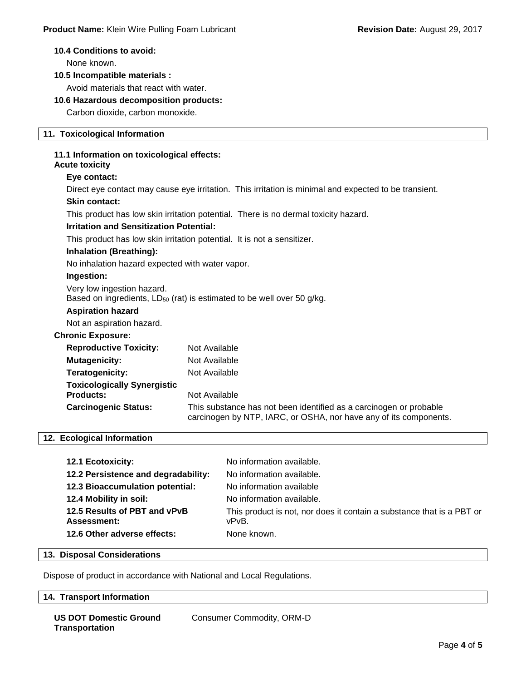#### **10.4 Conditions to avoid:**

None known.

## **10.5 Incompatible materials :**

Avoid materials that react with water.

#### **10.6 Hazardous decomposition products:**

Carbon dioxide, carbon monoxide.

# **11. Toxicological Information**

# **11.1 Information on toxicological effects:**

# **Acute toxicity**

# **Eye contact:**

Direct eye contact may cause eye irritation. This irritation is minimal and expected to be transient.

#### **Skin contact:**

This product has low skin irritation potential. There is no dermal toxicity hazard.

#### **Irritation and Sensitization Potential:**

This product has low skin irritation potential. It is not a sensitizer.

# **Inhalation (Breathing):**

No inhalation hazard expected with water vapor.

# **Ingestion:**

Very low ingestion hazard. Based on ingredients,  $LD_{50}$  (rat) is estimated to be well over 50 g/kg.

# **Aspiration hazard**

Not an aspiration hazard.

# **Chronic Exposure:**

| <b>Reproductive Toxicity:</b>      | Not Available                                                                                                                           |
|------------------------------------|-----------------------------------------------------------------------------------------------------------------------------------------|
| <b>Mutagenicity:</b>               | Not Available                                                                                                                           |
| Teratogenicity:                    | Not Available                                                                                                                           |
| <b>Toxicologically Synergistic</b> |                                                                                                                                         |
| <b>Products:</b>                   | Not Available                                                                                                                           |
| <b>Carcinogenic Status:</b>        | This substance has not been identified as a carcinogen or probable<br>carcinogen by NTP, IARC, or OSHA, nor have any of its components. |

#### **12. Ecological Information**

| <b>12.1 Ecotoxicity:</b>            | No information available.                                             |
|-------------------------------------|-----------------------------------------------------------------------|
| 12.2 Persistence and degradability: | No information available.                                             |
| 12.3 Bioaccumulation potential:     | No information available                                              |
| 12.4 Mobility in soil:              | No information available.                                             |
| 12.5 Results of PBT and vPvB        | This product is not, nor does it contain a substance that is a PBT or |
| Assessment:                         | vPvB.                                                                 |
| 12.6 Other adverse effects:         | None known.                                                           |

# **13. Disposal Considerations**

Dispose of product in accordance with National and Local Regulations.

#### **14. Transport Information**

|  | <b>US DOT Domestic Ground</b> |  |
|--|-------------------------------|--|
|  | <b>Transportation</b>         |  |

Consumer Commodity, ORM-D